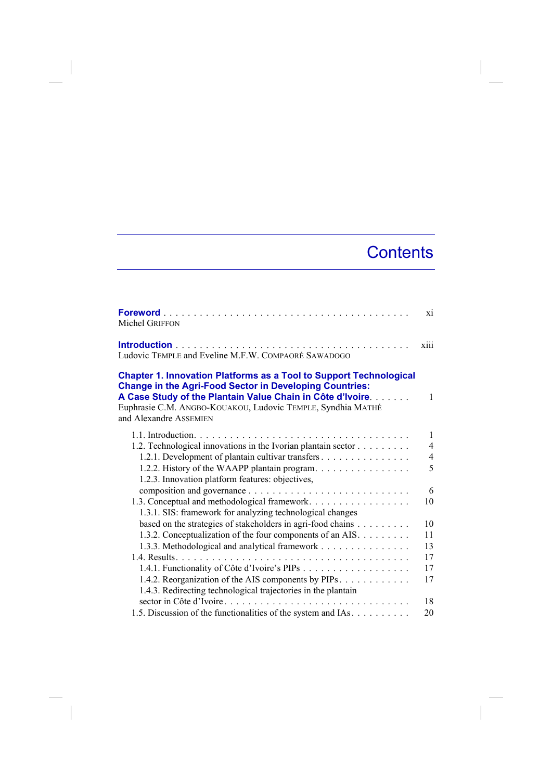## **Contents**

| <b>Foreword</b><br><b>Michel GRIFFON</b>                                                                                                                                                                                                                                                           | xi             |
|----------------------------------------------------------------------------------------------------------------------------------------------------------------------------------------------------------------------------------------------------------------------------------------------------|----------------|
| Ludovic TEMPLE and Eveline M.F.W. COMPAORÉ SAWADOGO                                                                                                                                                                                                                                                | X111           |
| <b>Chapter 1. Innovation Platforms as a Tool to Support Technological</b><br><b>Change in the Agri-Food Sector in Developing Countries:</b><br>A Case Study of the Plantain Value Chain in Côte d'Ivoire.<br>Euphrasie C.M. ANGBO-KOUAKOU, Ludovic TEMPLE, Syndhia MATHÉ<br>and Alexandre ASSEMIEN | $\mathbf{1}$   |
|                                                                                                                                                                                                                                                                                                    | $\mathbf{1}$   |
| 1.2. Technological innovations in the Ivorian plantain sector                                                                                                                                                                                                                                      | $\overline{4}$ |
| 1.2.1. Development of plantain cultivar transfers                                                                                                                                                                                                                                                  | 4              |
| 1.2.2. History of the WAAPP plantain program.                                                                                                                                                                                                                                                      | 5              |
| 1.2.3. Innovation platform features: objectives,                                                                                                                                                                                                                                                   |                |
|                                                                                                                                                                                                                                                                                                    | 6              |
| 1.3. Conceptual and methodological framework.                                                                                                                                                                                                                                                      | 10             |
| 1.3.1. SIS: framework for analyzing technological changes                                                                                                                                                                                                                                          |                |
| based on the strategies of stakeholders in agri-food chains                                                                                                                                                                                                                                        | 10             |
| 1.3.2. Conceptualization of the four components of an AIS.                                                                                                                                                                                                                                         | 11             |
| 1.3.3. Methodological and analytical framework                                                                                                                                                                                                                                                     | 13             |
| 14 Results                                                                                                                                                                                                                                                                                         | 17             |
|                                                                                                                                                                                                                                                                                                    | 17             |
| 1.4.2. Reorganization of the AIS components by PIPs                                                                                                                                                                                                                                                | 17             |
| 1.4.3. Redirecting technological trajectories in the plantain                                                                                                                                                                                                                                      |                |
| sector in Côte d'Ivoire.                                                                                                                                                                                                                                                                           | 18             |
| 1.5. Discussion of the functionalities of the system and IAs.                                                                                                                                                                                                                                      | 20             |

 $\overline{\phantom{a}}$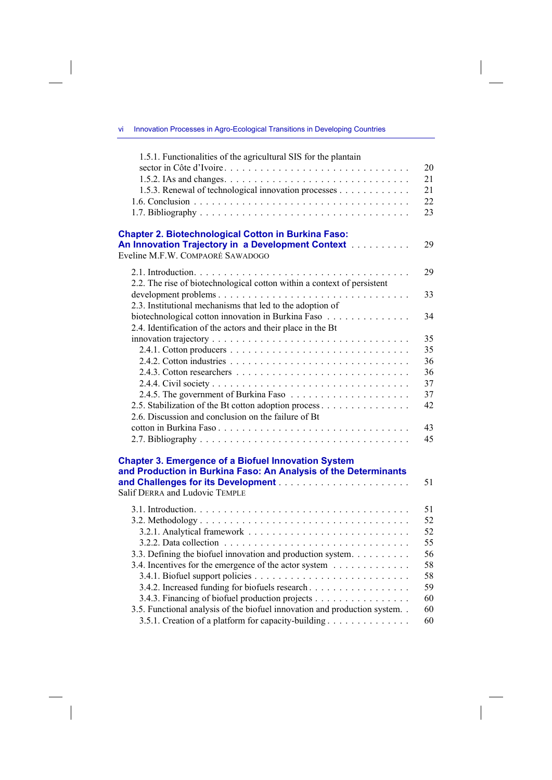vi Innovation Processes in Agro-Ecological Transitions in Developing Countries

 $\overline{\phantom{a}}$ 

 $\overline{\phantom{a}}$ 

 $\overline{\phantom{a}}$ 

 $\begin{array}{c} \hline \end{array}$ 

| 1.5.1. Functionalities of the agricultural SIS for the plantain                                                                                                                                                                                                                                       |                                                          |
|-------------------------------------------------------------------------------------------------------------------------------------------------------------------------------------------------------------------------------------------------------------------------------------------------------|----------------------------------------------------------|
| 1.5.3. Renewal of technological innovation processes                                                                                                                                                                                                                                                  | 20<br>21<br>21<br>22<br>23                               |
| <b>Chapter 2. Biotechnological Cotton in Burkina Faso:</b><br>An Innovation Trajectory in a Development Context [11] [11] An Innovation Trajectory in a Development Context<br>Eveline M.F.W. COMPAORÉ SAWADOGO                                                                                       | 29                                                       |
| 2.2. The rise of biotechnological cotton within a context of persistent                                                                                                                                                                                                                               | 29                                                       |
| 2.3. Institutional mechanisms that led to the adoption of                                                                                                                                                                                                                                             | 33                                                       |
| biotechnological cotton innovation in Burkina Faso<br>2.4. Identification of the actors and their place in the Bt                                                                                                                                                                                     | 34                                                       |
| 2.5. Stabilization of the Bt cotton adoption process<br>2.6. Discussion and conclusion on the failure of Bt                                                                                                                                                                                           | 35<br>35<br>36<br>36<br>37<br>37<br>42<br>43<br>45       |
| <b>Chapter 3. Emergence of a Biofuel Innovation System</b><br>and Production in Burkina Faso: An Analysis of the Determinants                                                                                                                                                                         | 51                                                       |
| <b>Salif DERRA and Ludovic TEMPLE</b>                                                                                                                                                                                                                                                                 |                                                          |
| 3.3. Defining the biofuel innovation and production system.<br>3.4. Incentives for the emergence of the actor system<br>3.4.2. Increased funding for biofuels research<br>3.4.3. Financing of biofuel production projects<br>3.5. Functional analysis of the biofuel innovation and production system | 51<br>52<br>52<br>55<br>56<br>58<br>58<br>59<br>60<br>60 |
| 3.5.1. Creation of a platform for capacity-building                                                                                                                                                                                                                                                   | 60                                                       |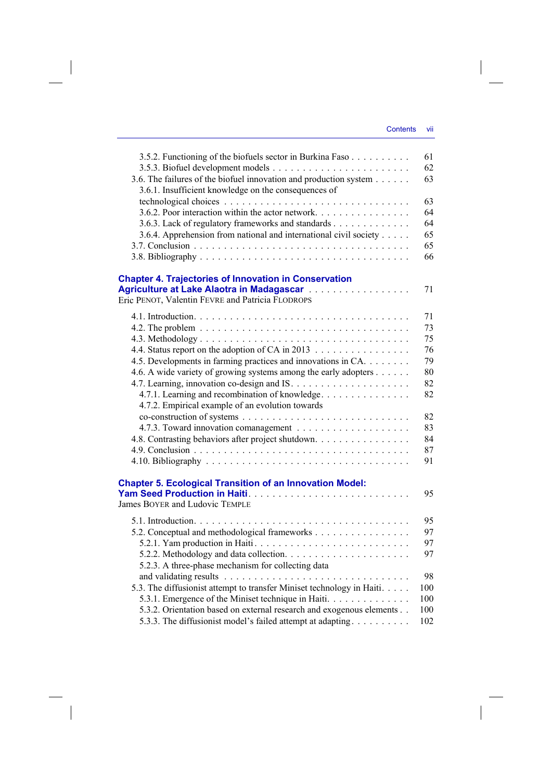$\overline{\phantom{a}}$ 

| 3.5.2. Functioning of the biofuels sector in Burkina Faso              | 61  |
|------------------------------------------------------------------------|-----|
|                                                                        | 62  |
| 3.6. The failures of the biofuel innovation and production system      | 63  |
| 3.6.1. Insufficient knowledge on the consequences of                   |     |
|                                                                        | 63  |
| 3.6.2. Poor interaction within the actor network.                      | 64  |
| 3.6.3. Lack of regulatory frameworks and standards                     | 64  |
| 3.6.4. Apprehension from national and international civil society      | 65  |
|                                                                        | 65  |
|                                                                        | 66  |
| <b>Chapter 4. Trajectories of Innovation in Conservation</b>           |     |
| Agriculture at Lake Alaotra in Madagascar                              | 71  |
| Eric PENOT, Valentin FEVRE and Patricia FLODROPS                       |     |
|                                                                        | 71  |
|                                                                        | 73  |
|                                                                        | 75  |
| 4.4. Status report on the adoption of CA in 2013                       | 76  |
| 4.5. Developments in farming practices and innovations in CA.          | 79  |
| 4.6. A wide variety of growing systems among the early adopters        | 80  |
|                                                                        | 82  |
| 4.7.1. Learning and recombination of knowledge                         | 82  |
| 4.7.2. Empirical example of an evolution towards                       |     |
|                                                                        | 82  |
|                                                                        | 83  |
| 4.8. Contrasting behaviors after project shutdown.                     | 84  |
|                                                                        | 87  |
|                                                                        | 91  |
| <b>Chapter 5. Ecological Transition of an Innovation Model:</b>        |     |
|                                                                        | 95  |
| James BOYER and Ludovic TEMPLE                                         |     |
|                                                                        | 95  |
| 5.2. Conceptual and methodological frameworks                          | 97  |
| 5.2.1. Yam production in Haiti                                         | 97  |
|                                                                        | 97  |
| 5.2.3. A three-phase mechanism for collecting data                     |     |
|                                                                        | 98  |
| 5.3. The diffusionist attempt to transfer Miniset technology in Haiti. | 100 |
| 5.3.1. Emergence of the Miniset technique in Haiti                     | 100 |
| 5.3.2. Orientation based on external research and exogenous elements   | 100 |
| 5.3.3. The diffusionist model's failed attempt at adapting.            | 102 |

 $\overline{\phantom{a}}$ 

 $\begin{array}{c} \begin{array}{c} \end{array} \end{array}$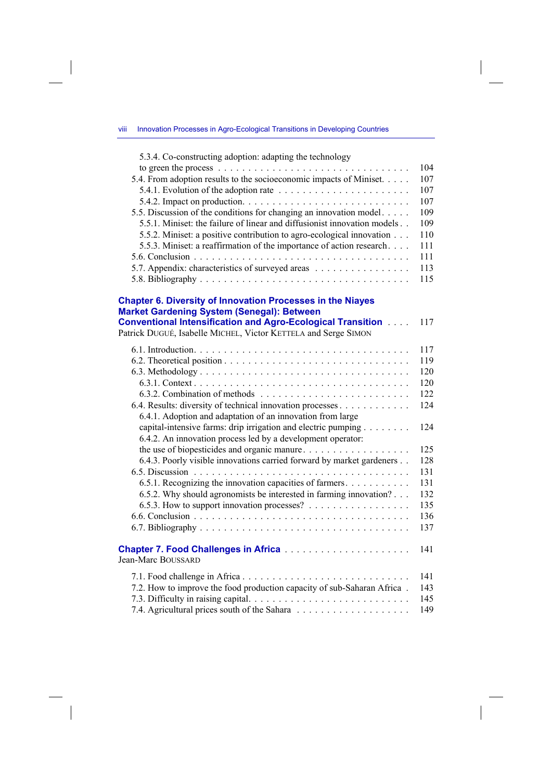5.3.4. Co-constructing adoption: adapting the technology to green the process . . . . . . . . . . . . . . . . . . . . . . . . . . . . . . . . 104 5.4. From adoption results to the socioeconomic impacts of Miniset. . . . . 107 5.4.1. Evolution of the adoption rate  $\ldots \ldots \ldots \ldots \ldots \ldots \ldots \ldots \ldots$  107 5.4.2. Impact on production . . . . . . . . . . . . . . . . . . . . . . . . . . . . 107 5.5. Discussion of the conditions for changing an innovation model . . . . . 109 5.5.1. Miniset: the failure of linear and diffusionist innovation models . . 109 5.5.2. Miniset: a positive contribution to agro-ecological innovation . . . 110 5.5.3. Miniset: a reaffirmation of the importance of action research . . . . 111 5.6. Conclusion . . . . . . . . . . . . . . . . . . . . . . . . . . . . . . . . . . . . 111 5.7. Appendix: characteristics of surveyed areas . . . . . . . . . . . . . . . . 113 5.8. Bibliography . . . . . . . . . . . . . . . . . . . . . . . . . . . . . . . . . . . 115

## **Chapter 6. Diversity of Innovation Processes in the Niayes Market Gardening System (Senegal): Between**

| <b>Conventional Intensification and Agro-Ecological Transition Action</b><br>Patrick DUGUÉ, Isabelle MICHEL, Victor KETTELA and Serge SIMON | 117 |
|---------------------------------------------------------------------------------------------------------------------------------------------|-----|
|                                                                                                                                             | 117 |
|                                                                                                                                             | 119 |
|                                                                                                                                             | 120 |
|                                                                                                                                             | 120 |
|                                                                                                                                             | 122 |
| 6.4. Results: diversity of technical innovation processes                                                                                   | 124 |
| 6.4.1. Adoption and adaptation of an innovation from large                                                                                  |     |
| capital-intensive farms: drip irrigation and electric pumping $\ldots \ldots$                                                               | 124 |
| 6.4.2. An innovation process led by a development operator:                                                                                 |     |
| the use of biopesticides and organic manure                                                                                                 | 125 |
| 6.4.3. Poorly visible innovations carried forward by market gardeners                                                                       | 128 |
|                                                                                                                                             | 131 |
| 6.5.1. Recognizing the innovation capacities of farmers.                                                                                    | 131 |
| 6.5.2. Why should agronomists be interested in farming innovation?                                                                          | 132 |
| 6.5.3. How to support innovation processes? $\ldots$                                                                                        | 135 |
|                                                                                                                                             | 136 |
|                                                                                                                                             | 137 |
| Jean-Marc BOUSSARD                                                                                                                          | 141 |
|                                                                                                                                             | 141 |
| 7.2. How to improve the food production capacity of sub-Saharan Africa.                                                                     | 143 |
|                                                                                                                                             | 145 |

7.4. Agricultural prices south of the Sahara . . . . . . . . . . . . . . . . . . . 149